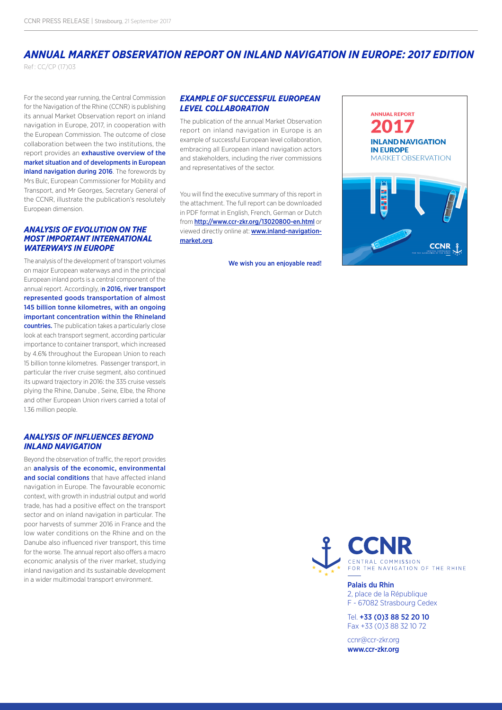## *ANNUAL MARKET OBSERVATION REPORT ON INLAND NAVIGATION IN EUROPE: 2017 EDITION* Ref : CC/CP (17)03

For the second year running, the Central Commission for the Navigation of the Rhine (CCNR) is publishing its annual Market Observation report on inland navigation in Europe, 2017, in cooperation with the European Commission. The outcome of close collaboration between the two institutions, the report provides an **exhaustive overview of the** market situation and of developments in European inland navigation during 2016. The forewords by Mrs Bulc, European Commissioner for Mobility and Transport, and Mr Georges, Secretary General of the CCNR, illustrate the publication's resolutely European dimension.

#### *ANALYSIS OF EVOLUTION ON THE MOST IMPORTANT INTERNATIONAL WATERWAYS IN EUROPE*

The analysis of the development of transport volumes on major European waterways and in the principal European inland ports is a central component of the annual report. Accordingly, in 2016, river transport represented goods transportation of almost 145 billion tonne kilometres, with an ongoing important concentration within the Rhineland countries. The publication takes a particularly close look at each transport segment, according particular importance to container transport, which increased by 4.6% throughout the European Union to reach 15 billion tonne kilometres. Passenger transport, in particular the river cruise segment, also continued its upward trajectory in 2016: the 335 cruise vessels plying the Rhine, Danube , Seine, Elbe, the Rhone and other European Union rivers carried a total of 1.36 million people.

#### *ANALYSIS OF INFLUENCES BEYOND INLAND NAVIGATION*

Beyond the observation of traffic, the report provides an analysis of the economic, environmental and social conditions that have affected inland navigation in Europe. The favourable economic context, with growth in industrial output and world trade, has had a positive effect on the transport sector and on inland navigation in particular. The poor harvests of summer 2016 in France and the low water conditions on the Rhine and on the Danube also influenced river transport, this time for the worse. The annual report also offers a macro economic analysis of the river market, studying inland navigation and its sustainable development in a wider multimodal transport environment.<br>**Palais du Rhin** 

### *EXAMPLE OF SUCCESSFUL EUROPEAN LEVEL COLLABORATION*

The publication of the annual Market Observation report on inland navigation in Europe is an example of successful European level collaboration, embracing all European inland navigation actors and stakeholders, including the river commissions and representatives of the sector.

You will find the executive summary of this report in the attachment. The full report can be downloaded in PDF format in English, French, German or Dutch from <http://www.ccr-zkr.org/13020800-en.html> or viewed directly online at: **[www.inland-navigation](http://www.inland-navigation-market.org/en/reports/period/2017/quarter/q2)**[market.org](http://www.inland-navigation-market.org/en/reports/period/2017/quarter/q2)

We wish you an enjoyable read!





2, place de la République F - 67082 Strasbourg Cedex

Tel. +33 (0)3 88 52 20 10 Fax +33 (0)3 88 32 10 72

[ccnr@ccr-zkr.org](mailto:ccnr%40ccr-zkr.org?subject=) [www.ccr-zkr.org](http://www.ccr-zkr.org/10000000-en.html)